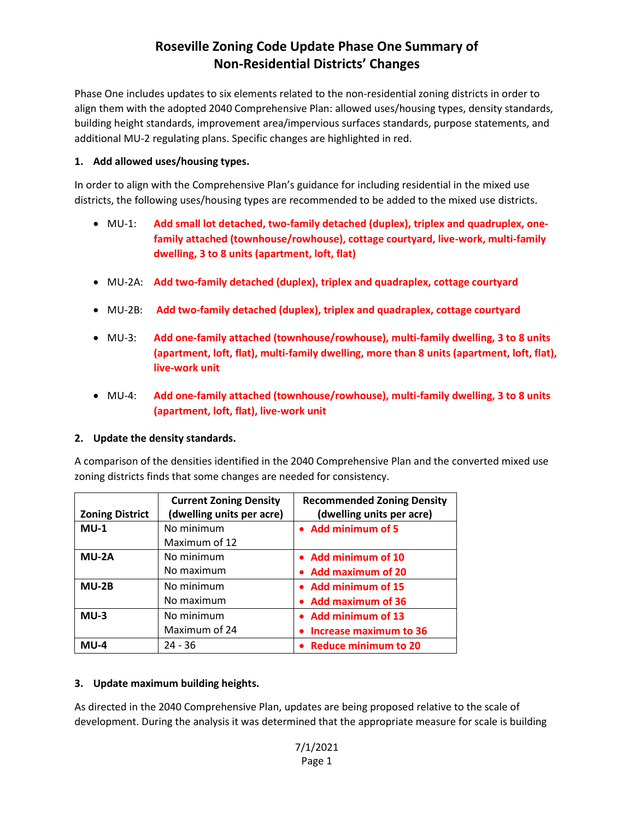Phase One includes updates to six elements related to the non-residential zoning districts in order to align them with the adopted 2040 Comprehensive Plan: allowed uses/housing types, density standards, building height standards, improvement area/impervious surfaces standards, purpose statements, and additional MU-2 regulating plans. Specific changes are highlighted in red.

### **1. Add allowed uses/housing types.**

In order to align with the Comprehensive Plan's guidance for including residential in the mixed use districts, the following uses/housing types are recommended to be added to the mixed use districts.

- MU-1: **Add small lot detached, two-family detached (duplex), triplex and quadruplex, onefamily attached (townhouse/rowhouse), cottage courtyard, live-work, multi-family dwelling, 3 to 8 units (apartment, loft, flat)**
- MU-2A: **Add two-family detached (duplex), triplex and quadraplex, cottage courtyard**
- MU-2B: **Add two-family detached (duplex), triplex and quadraplex, cottage courtyard**
- MU-3: **Add one-family attached (townhouse/rowhouse), multi-family dwelling, 3 to 8 units (apartment, loft, flat), multi-family dwelling, more than 8 units (apartment, loft, flat), live-work unit**
- MU-4: **Add one-family attached (townhouse/rowhouse), multi-family dwelling, 3 to 8 units (apartment, loft, flat), live-work unit**

#### **2. Update the density standards.**

A comparison of the densities identified in the 2040 Comprehensive Plan and the converted mixed use zoning districts finds that some changes are needed for consistency.

|                        | <b>Current Zoning Density</b> | <b>Recommended Zoning Density</b> |
|------------------------|-------------------------------|-----------------------------------|
| <b>Zoning District</b> | (dwelling units per acre)     | (dwelling units per acre)         |
| $MU-1$                 | No minimum                    | • Add minimum of 5                |
|                        | Maximum of 12                 |                                   |
| MU-2A                  | No minimum                    | • Add minimum of 10               |
|                        | No maximum                    | • Add maximum of 20               |
| $MU-2B$                | No minimum                    | • Add minimum of 15               |
|                        | No maximum                    | • Add maximum of 36               |
| $MU-3$                 | No minimum                    | • Add minimum of 13               |
|                        | Maximum of 24                 | • Increase maximum to 36          |
| $MU-4$                 | $24 - 36$                     | • Reduce minimum to 20            |

### **3. Update maximum building heights.**

As directed in the 2040 Comprehensive Plan, updates are being proposed relative to the scale of development. During the analysis it was determined that the appropriate measure for scale is building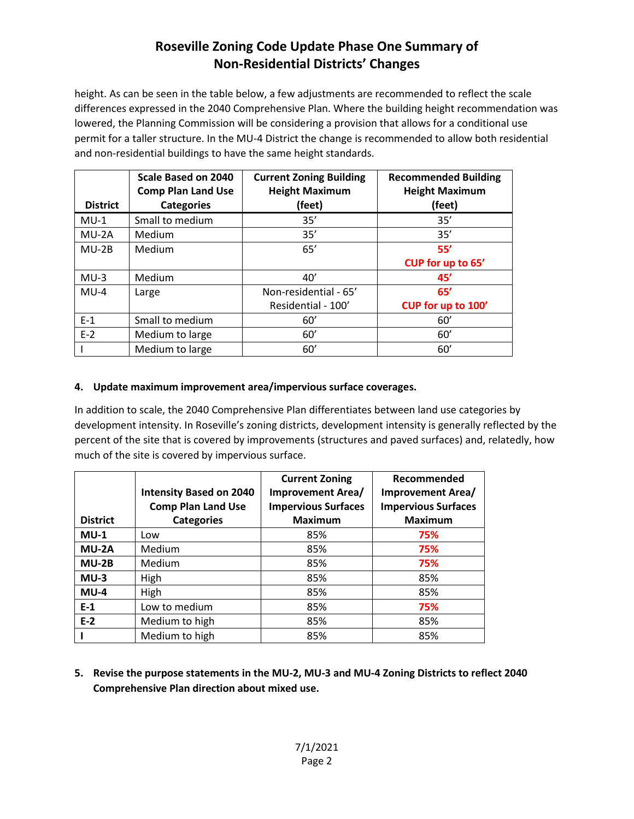height. As can be seen in the table below, a few adjustments are recommended to reflect the scale differences expressed in the 2040 Comprehensive Plan. Where the building height recommendation was lowered, the Planning Commission will be considering a provision that allows for a conditional use permit for a taller structure. In the MU-4 District the change is recommended to allow both residential and non-residential buildings to have the same height standards.

|                 | Scale Based on 2040<br><b>Comp Plan Land Use</b> | <b>Current Zoning Building</b><br><b>Height Maximum</b> | <b>Recommended Building</b><br><b>Height Maximum</b> |
|-----------------|--------------------------------------------------|---------------------------------------------------------|------------------------------------------------------|
| <b>District</b> | <b>Categories</b>                                | (feet)                                                  | (feet)                                               |
| $MU-1$          | Small to medium                                  | 35'                                                     | 35'                                                  |
| $MU-2A$         | Medium                                           | 35'                                                     | 35'                                                  |
| $MU-2B$         | Medium                                           | 65'                                                     | 55'                                                  |
|                 |                                                  |                                                         | CUP for up to 65'                                    |
| $MU-3$          | Medium                                           | 40'                                                     | 45'                                                  |
| $MU-4$          | Large                                            | Non-residential - 65'                                   | 65'                                                  |
|                 |                                                  | Residential - 100'                                      | CUP for up to 100'                                   |
| $E-1$           | Small to medium                                  | 60'                                                     | 60'                                                  |
| $E-2$           | Medium to large                                  | 60'                                                     | 60'                                                  |
|                 | Medium to large                                  | 60'                                                     | 60'                                                  |

### **4. Update maximum improvement area/impervious surface coverages.**

In addition to scale, the 2040 Comprehensive Plan differentiates between land use categories by development intensity. In Roseville's zoning districts, development intensity is generally reflected by the percent of the site that is covered by improvements (structures and paved surfaces) and, relatedly, how much of the site is covered by impervious surface.

| <b>District</b> | <b>Intensity Based on 2040</b><br><b>Comp Plan Land Use</b><br><b>Categories</b> | <b>Current Zoning</b><br>Improvement Area/<br><b>Impervious Surfaces</b><br><b>Maximum</b> | Recommended<br><b>Improvement Area/</b><br><b>Impervious Surfaces</b><br><b>Maximum</b> |
|-----------------|----------------------------------------------------------------------------------|--------------------------------------------------------------------------------------------|-----------------------------------------------------------------------------------------|
| $MU-1$          | Low                                                                              | 85%                                                                                        | 75%                                                                                     |
| MU-2A           | Medium                                                                           | 85%                                                                                        | 75%                                                                                     |
| $MU-2B$         | Medium                                                                           | 85%                                                                                        | 75%                                                                                     |
| $MU-3$          | High                                                                             | 85%                                                                                        | 85%                                                                                     |
| $MU-4$          | High                                                                             | 85%                                                                                        | 85%                                                                                     |
| $E-1$           | Low to medium                                                                    | 85%                                                                                        | 75%                                                                                     |
| $E-2$           | Medium to high                                                                   | 85%                                                                                        | 85%                                                                                     |
|                 | Medium to high                                                                   | 85%                                                                                        | 85%                                                                                     |

**5. Revise the purpose statements in the MU-2, MU-3 and MU-4 Zoning Districts to reflect 2040 Comprehensive Plan direction about mixed use.**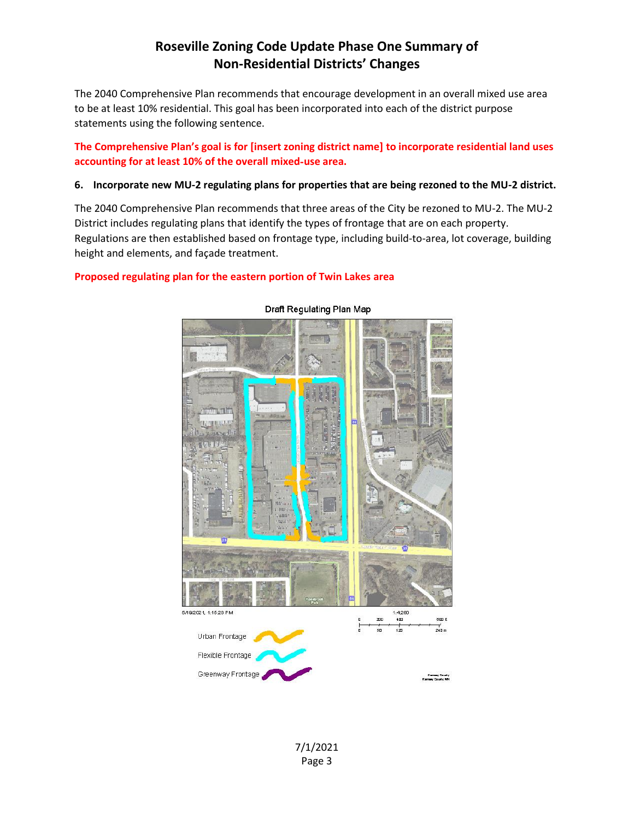The 2040 Comprehensive Plan recommends that encourage development in an overall mixed use area to be at least 10% residential. This goal has been incorporated into each of the district purpose statements using the following sentence.

### **The Comprehensive Plan's goal is for [insert zoning district name] to incorporate residential land uses accounting for at least 10% of the overall mixed**‐**use area.**

#### **6. Incorporate new MU-2 regulating plans for properties that are being rezoned to the MU-2 district.**

The 2040 Comprehensive Plan recommends that three areas of the City be rezoned to MU-2. The MU-2 District includes regulating plans that identify the types of frontage that are on each property. Regulations are then established based on frontage type, including build-to-area, lot coverage, building height and elements, and façade treatment.

### **Proposed regulating plan for the eastern portion of Twin Lakes area**



#### Draft Regulating Plan Map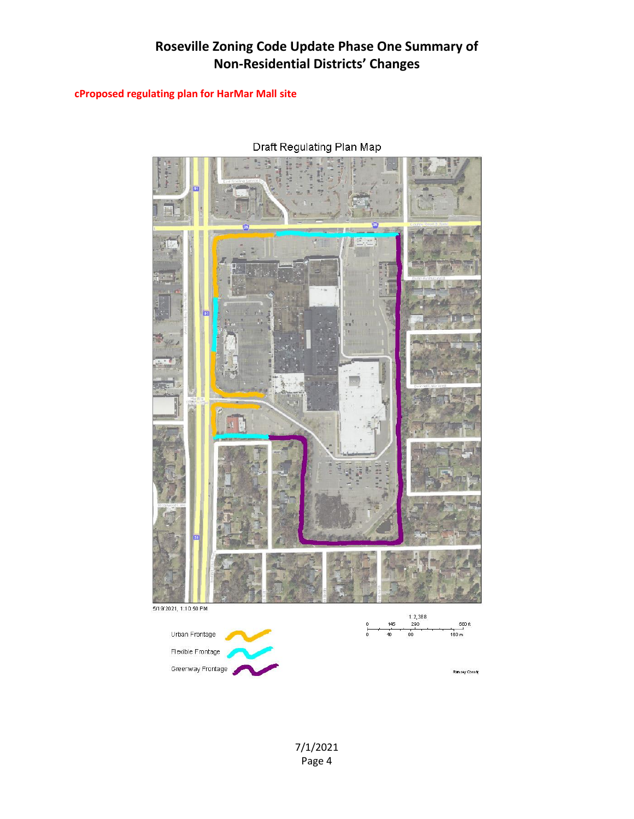### **cProposed regulating plan for HarMar Mall site**

 $E=1$ 5/19/2021, 1:10:50 PM  $\frac{1:2,388}{290}$  $\frac{580 \text{ ft}}{4}$ 145 Urban Frontage  $\frac{1}{40}$  $160 m$  $80^{\circ}$ Flexible Frontage Greenway Frontage Ramsey Comity

Draft Regulating Plan Map